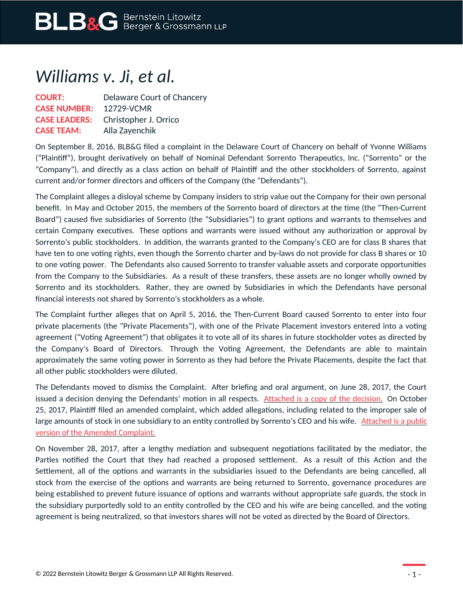## *Williams v. Ji, et al.*

| <b>COURT:</b>        | Delaware Court of Chancery |
|----------------------|----------------------------|
| <b>CASE NUMBER:</b>  | 12729-VCMR                 |
| <b>CASE LEADERS:</b> | Christopher J. Orrico      |
| <b>CASE TEAM:</b>    | Alla Zayenchik             |

On September 8, 2016, BLB&G filed a complaint in the Delaware Court of Chancery on behalf of Yvonne Williams ("Plaintiff"), brought derivatively on behalf of Nominal Defendant Sorrento Therapeutics, Inc. ("Sorrento" or the "Company"), and directly as a class action on behalf of Plaintiff and the other stockholders of Sorrento, against current and/or former directors and officers of the Company (the "Defendants").

The Complaint alleges a disloyal scheme by Company insiders to strip value out the Company for their own personal benefit. In May and October 2015, the members of the Sorrento board of directors at the time (the "Then-Current Board") caused five subsidiaries of Sorrento (the "Subsidiaries") to grant options and warrants to themselves and certain Company executives. These options and warrants were issued without any authorization or approval by Sorrento's public stockholders. In addition, the warrants granted to the Company's CEO are for class B shares that have ten to one voting rights, even though the Sorrento charter and by-laws do not provide for class B shares or 10 to one voting power. The Defendants also caused Sorrento to transfer valuable assets and corporate opportunities from the Company to the Subsidiaries. As a result of these transfers, these assets are no longer wholly owned by Sorrento and its stockholders. Rather, they are owned by Subsidiaries in which the Defendants have personal financial interests not shared by Sorrento's stockholders as a whole.

The Complaint further alleges that on April 5, 2016, the Then-Current Board caused Sorrento to enter into four private placements (the "Private Placements"), with one of the Private Placement investors entered into a voting agreement ("Voting Agreement") that obligates it to vote all of its shares in future stockholder votes as directed by the Company's Board of Directors. Through the Voting Agreement, the Defendants are able to maintain approximately the same voting power in Sorrento as they had before the Private Placements, despite the fact that all other public stockholders were diluted.

The Defendants moved to dismiss the Complaint. After briefing and oral argument, on June 28, 2017, the Court issued a decision denying the Defendants' motion in all respects. [Attached is a copy of the decision.](https://www.blbglaw.com/cases/sorrento-therapeutics-inc/_res/id=Attachments/index=2/BLBG-#1093709-v1-2017-06-28_Memo_Op__re_MTD.PDF) On October 25, 2017, Plaintiff filed an amended complaint, which added allegations, including related to the improper sale of large amounts of stock in one subsidiary to an entity controlled by Sorrento's CEO and his wife. [Attached is a public](https://www.blbglaw.com/cases/sorrento-therapeutics-inc/_res/id=Attachments/index=1/BLBG-#1131159-v1-2017-11-01_Public_Version_-_Verified_Supplemental_and_Amended_Class_Action_and_Derivative_Complaint.pdf) [version of the Amended Complaint.](https://www.blbglaw.com/cases/sorrento-therapeutics-inc/_res/id=Attachments/index=1/BLBG-#1131159-v1-2017-11-01_Public_Version_-_Verified_Supplemental_and_Amended_Class_Action_and_Derivative_Complaint.pdf)

On November 28, 2017, after a lengthy mediation and subsequent negotiations facilitated by the mediator, the Parties notified the Court that they had reached a proposed settlement. As a result of this Action and the Settlement, all of the options and warrants in the subsidiaries issued to the Defendants are being cancelled, all stock from the exercise of the options and warrants are being returned to Sorrento, governance procedures are being established to prevent future issuance of options and warrants without appropriate safe guards, the stock in the subsidiary purportedly sold to an entity controlled by the CEO and his wife are being cancelled, and the voting agreement is being neutralized, so that investors shares will not be voted as directed by the Board of Directors.